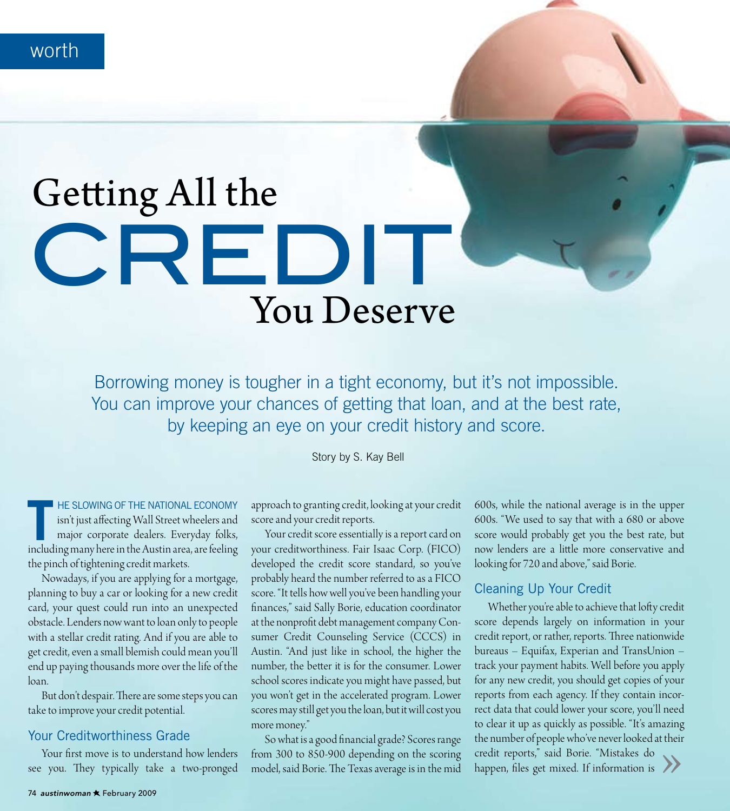worth

# Getting All the CREDIT **You Deserve**

Borrowing money is tougher in a tight economy, but it's not impossible. You can improve your chances of getting that loan, and at the best rate, by keeping an eye on your credit history and score.

Story by S. Kay Bell

HE SLOWING OF THE NATIONAL ECONOMY isn't just affecting Wall Street wheelers and major corporate dealers. Everyday folks, including many here in the Austin area, are feeling the pinch of tightening credit markets.

Nowadays, if you are applying for a mortgage, planning to buy a car or looking for a new credit card, your quest could run into an unexpected obstacle. Lenders now want to loan only to people with a stellar credit rating. And if you are able to get credit, even a small blemish could mean you'll end up paying thousands more over the life of the loan.

But don't despair. There are some steps you can take to improve your credit potential.

#### **Your Creditworthiness Grade**

Your first move is to understand how lenders see you. They typically take a two-pronged

approach to granting credit, looking at your credit score and your credit reports.

Your credit score essentially is a report card on your creditworthiness. Fair Isaac Corp. (FICO) developed the credit score standard, so you've probably heard the number referred to as a FICO score. "It tells how well you've been handling your finances," said Sally Borie, education coordinator at the nonprofit debt management company Consumer Credit Counseling Service (CCCS) in Austin. "And just like in school, the higher the number, the better it is for the consumer. Lower school scores indicate you might have passed, but you won't get in the accelerated program. Lower scores may still get you the loan, but it will cost you more money."

So what is a good financial grade? Scores range from 300 to 850-900 depending on the scoring model, said Borie. The Texas average is in the mid

600s, while the national average is in the upper 600s. "We used to say that with a 680 or above score would probably get you the best rate, but now lenders are a little more conservative and looking for 720 and above," said Borie.

#### Cleaning Up Your Credit

Whether you're able to achieve that lofty credit score depends largely on information in your credit report, or rather, reports. Three nationwide bureaus – Equifax, Experian and TransUnion – track your payment habits. Well before you apply for any new credit, you should get copies of your reports from each agency. If they contain incorrect data that could lower your score, you'll need to clear it up as quickly as possible. "It's amazing the number of people who've never looked at their credit reports," said Borie. "Mistakes do happen, files get mixed. If information is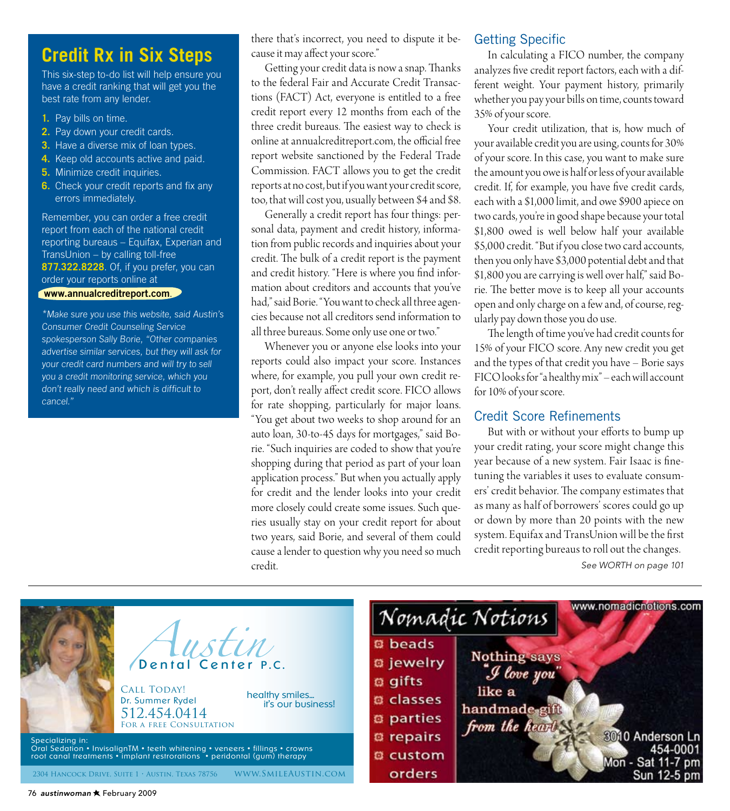## **Credit Rx in Six Steps**

This six-step to-do list will help ensure you have a credit ranking that will get you the best rate from any lender.

- 1. Pay bills on time.
- 2. Pay down your credit cards.
- 3. Have a diverse mix of loan types.
- 4. Keep old accounts active and paid.
- 5. Minimize credit inquiries.
- 6. Check your credit reports and fix any errors immediately.

Remember, you can order a free credit report from each of the national credit reporting bureaus - Equifax, Experian and TransUnion - by calling toll-free 877.322.8228. Of, if you prefer, you can order your reports online at

#### www.annualcreditreport.com.

\*Make sure you use this website, said Austin's **Consumer Credit Counseling Service** spokesperson Sally Borie, "Other companies advertise similar services, but they will ask for your credit card numbers and will try to sell you a credit monitoring service, which you don't really need and which is difficult to cancel."

there that's incorrect, you need to dispute it because it may affect your score."

Getting your credit data is now a snap. Thanks to the federal Fair and Accurate Credit Transactions (FACT) Act, everyone is entitled to a free credit report every 12 months from each of the three credit bureaus. The easiest way to check is online at annualcreditreport.com, the official free report website sanctioned by the Federal Trade Commission. FACT allows you to get the credit reports at no cost, but if you want your credit score, too, that will cost you, usually between \$4 and \$8.

Generally a credit report has four things: personal data, payment and credit history, information from public records and inquiries about your credit. The bulk of a credit report is the payment and credit history. "Here is where you find information about creditors and accounts that you've had," said Borie. "You want to check all three agencies because not all creditors send information to all three bureaus. Some only use one or two."

Whenever you or anyone else looks into your reports could also impact your score. Instances where, for example, you pull your own credit report, don't really affect credit score. FICO allows for rate shopping, particularly for major loans. "You get about two weeks to shop around for an auto loan, 30-to-45 days for mortgages," said Borie. "Such inquiries are coded to show that you're shopping during that period as part of your loan application process." But when you actually apply for credit and the lender looks into your credit more closely could create some issues. Such queries usually stay on your credit report for about two years, said Borie, and several of them could cause a lender to question why you need so much credit.

#### **Getting Specific**

In calculating a FICO number, the company analyzes five credit report factors, each with a different weight. Your payment history, primarily whether you pay your bills on time, counts toward 35% of your score.

Your credit utilization, that is, how much of your available credit you are using, counts for 30% of your score. In this case, you want to make sure the amount you owe is half or less of your available credit. If, for example, you have five credit cards, each with a \$1,000 limit, and owe \$900 apiece on two cards, you're in good shape because your total \$1,800 owed is well below half your available \$5,000 credit. "But if you close two card accounts, then you only have \$3,000 potential debt and that \$1,800 you are carrying is well over half," said Borie. The better move is to keep all your accounts open and only charge on a few and, of course, regularly pay down those you do use.

The length of time you've had credit counts for 15% of your FICO score. Any new credit you get and the types of that credit you have - Borie says FICO looks for "a healthy mix" - each will account for 10% of your score.

#### **Credit Score Refinements**

But with or without your efforts to bump up your credit rating, your score might change this year because of a new system. Fair Isaac is finetuning the variables it uses to evaluate consumers' credit behavior. The company estimates that as many as half of borrowers' scores could go up or down by more than 20 points with the new system. Equifax and TransUnion will be the first credit reporting bureaus to roll out the changes.

See WORTH on page 101